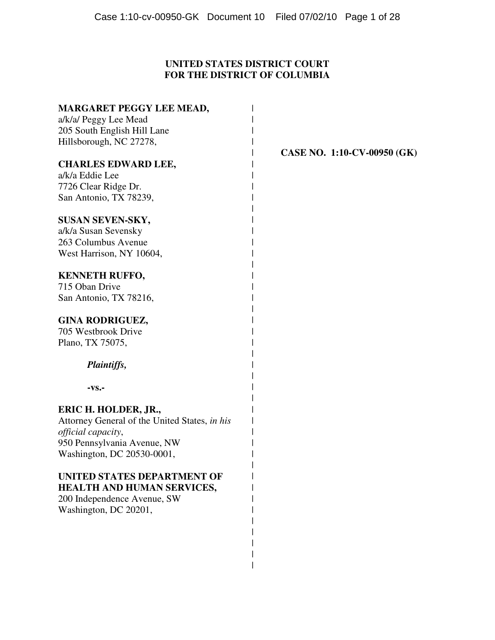# **UNITED STATES DISTRICT COURT FOR THE DISTRICT OF COLUMBIA**

 $\overline{\phantom{a}}$ |

| <b>MARGARET PEGGY LEE MEAD,</b>               |                |
|-----------------------------------------------|----------------|
| a/k/a/ Peggy Lee Mead                         |                |
| 205 South English Hill Lane                   |                |
| Hillsborough, NC 27278,                       |                |
|                                               | <b>CASE NO</b> |
| <b>CHARLES EDWARD LEE,</b>                    |                |
| a/k/a Eddie Lee                               |                |
| 7726 Clear Ridge Dr.                          |                |
| San Antonio, TX 78239,                        |                |
| SUSAN SEVEN-SKY,                              |                |
| a/k/a Susan Sevensky                          |                |
| 263 Columbus Avenue                           |                |
| West Harrison, NY 10604,                      |                |
|                                               |                |
| <b>KENNETH RUFFO,</b>                         |                |
| 715 Oban Drive                                |                |
| San Antonio, TX 78216,                        |                |
| <b>GINA RODRIGUEZ,</b>                        |                |
| 705 Westbrook Drive                           |                |
| Plano, TX 75075,                              |                |
| Plaintiffs,                                   |                |
|                                               |                |
| -vs.-                                         |                |
| ERIC H. HOLDER, JR.,                          |                |
| Attorney General of the United States, in his |                |
| official capacity,                            |                |
| 950 Pennsylvania Avenue, NW                   |                |
| Washington, DC 20530-0001,                    |                |
| UNITED STATES DEPARTMENT OF                   |                |
| <b>HEALTH AND HUMAN SERVICES,</b>             |                |
| 200 Independence Avenue, SW                   |                |
| Washington, DC 20201,                         |                |
|                                               |                |
|                                               |                |
|                                               |                |

**D.** 1:10-CV-00950 (GK)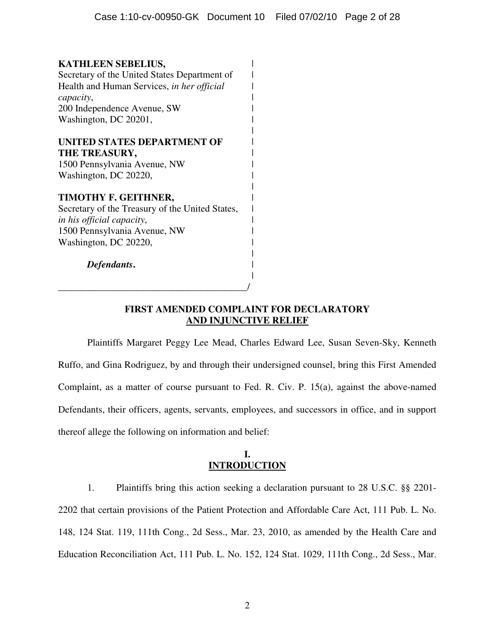| <b>KATHLEEN SEBELIUS,</b>                       |  |
|-------------------------------------------------|--|
| Secretary of the United States Department of    |  |
| Health and Human Services, in her official      |  |
| capacity,                                       |  |
| 200 Independence Avenue, SW                     |  |
| Washington, DC 20201,                           |  |
| UNITED STATES DEPARTMENT OF                     |  |
| THE TREASURY,                                   |  |
| 1500 Pennsylvania Avenue, NW                    |  |
| Washington, DC 20220,                           |  |
| TIMOTHY F. GEITHNER,                            |  |
| Secretary of the Treasury of the United States, |  |
| in his official capacity,                       |  |
| 1500 Pennsylvania Avenue, NW                    |  |
| Washington, DC 20220,                           |  |
| Defendants.                                     |  |
|                                                 |  |
|                                                 |  |
|                                                 |  |

# **FIRST AMENDED COMPLAINT FOR DECLARATORY AND INJUNCTIVE RELIEF**

 Plaintiffs Margaret Peggy Lee Mead, Charles Edward Lee, Susan Seven-Sky, Kenneth Ruffo, and Gina Rodriguez, by and through their undersigned counsel, bring this First Amended Complaint, as a matter of course pursuant to Fed. R. Civ. P. 15(a), against the above-named Defendants, their officers, agents, servants, employees, and successors in office, and in support thereof allege the following on information and belief:

# **I. INTRODUCTION**

1. Plaintiffs bring this action seeking a declaration pursuant to 28 U.S.C. §§ 2201- 2202 that certain provisions of the Patient Protection and Affordable Care Act, 111 Pub. L. No. 148, 124 Stat. 119, 111th Cong., 2d Sess., Mar. 23, 2010, as amended by the Health Care and Education Reconciliation Act, 111 Pub. L. No. 152, 124 Stat. 1029, 111th Cong., 2d Sess., Mar.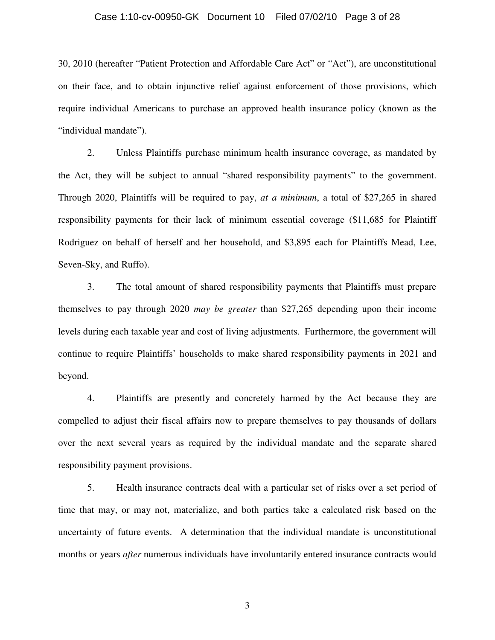### Case 1:10-cv-00950-GK Document 10 Filed 07/02/10 Page 3 of 28

30, 2010 (hereafter "Patient Protection and Affordable Care Act" or "Act"), are unconstitutional on their face, and to obtain injunctive relief against enforcement of those provisions, which require individual Americans to purchase an approved health insurance policy (known as the "individual mandate").

2. Unless Plaintiffs purchase minimum health insurance coverage, as mandated by the Act, they will be subject to annual "shared responsibility payments" to the government. Through 2020, Plaintiffs will be required to pay, *at a minimum*, a total of \$27,265 in shared responsibility payments for their lack of minimum essential coverage (\$11,685 for Plaintiff Rodriguez on behalf of herself and her household, and \$3,895 each for Plaintiffs Mead, Lee, Seven-Sky, and Ruffo).

3. The total amount of shared responsibility payments that Plaintiffs must prepare themselves to pay through 2020 *may be greater* than \$27,265 depending upon their income levels during each taxable year and cost of living adjustments. Furthermore, the government will continue to require Plaintiffs' households to make shared responsibility payments in 2021 and beyond.

4. Plaintiffs are presently and concretely harmed by the Act because they are compelled to adjust their fiscal affairs now to prepare themselves to pay thousands of dollars over the next several years as required by the individual mandate and the separate shared responsibility payment provisions.

5. Health insurance contracts deal with a particular set of risks over a set period of time that may, or may not, materialize, and both parties take a calculated risk based on the uncertainty of future events. A determination that the individual mandate is unconstitutional months or years *after* numerous individuals have involuntarily entered insurance contracts would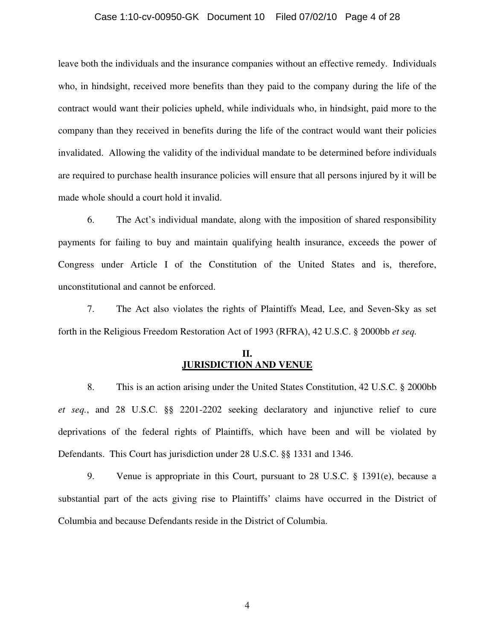### Case 1:10-cv-00950-GK Document 10 Filed 07/02/10 Page 4 of 28

leave both the individuals and the insurance companies without an effective remedy. Individuals who, in hindsight, received more benefits than they paid to the company during the life of the contract would want their policies upheld, while individuals who, in hindsight, paid more to the company than they received in benefits during the life of the contract would want their policies invalidated. Allowing the validity of the individual mandate to be determined before individuals are required to purchase health insurance policies will ensure that all persons injured by it will be made whole should a court hold it invalid.

6. The Act's individual mandate, along with the imposition of shared responsibility payments for failing to buy and maintain qualifying health insurance, exceeds the power of Congress under Article I of the Constitution of the United States and is, therefore, unconstitutional and cannot be enforced.

7. The Act also violates the rights of Plaintiffs Mead, Lee, and Seven-Sky as set forth in the Religious Freedom Restoration Act of 1993 (RFRA), 42 U.S.C. § 2000bb *et seq.*

### **II. JURISDICTION AND VENUE**

8. This is an action arising under the United States Constitution, 42 U.S.C. § 2000bb *et seq.*, and 28 U.S.C. §§ 2201-2202 seeking declaratory and injunctive relief to cure deprivations of the federal rights of Plaintiffs, which have been and will be violated by Defendants. This Court has jurisdiction under 28 U.S.C. §§ 1331 and 1346.

9. Venue is appropriate in this Court, pursuant to 28 U.S.C. § 1391(e), because a substantial part of the acts giving rise to Plaintiffs' claims have occurred in the District of Columbia and because Defendants reside in the District of Columbia.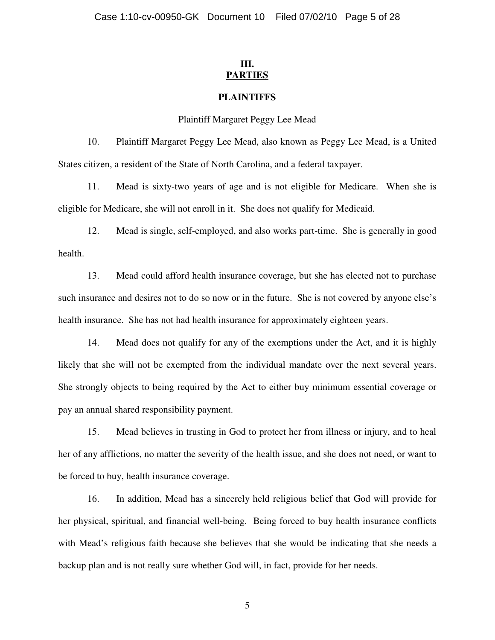# **III. PARTIES**

## **PLAINTIFFS**

## Plaintiff Margaret Peggy Lee Mead

10. Plaintiff Margaret Peggy Lee Mead, also known as Peggy Lee Mead, is a United States citizen, a resident of the State of North Carolina, and a federal taxpayer.

11. Mead is sixty-two years of age and is not eligible for Medicare. When she is eligible for Medicare, she will not enroll in it. She does not qualify for Medicaid.

12. Mead is single, self-employed, and also works part-time. She is generally in good health.

13. Mead could afford health insurance coverage, but she has elected not to purchase such insurance and desires not to do so now or in the future. She is not covered by anyone else's health insurance. She has not had health insurance for approximately eighteen years.

14. Mead does not qualify for any of the exemptions under the Act, and it is highly likely that she will not be exempted from the individual mandate over the next several years. She strongly objects to being required by the Act to either buy minimum essential coverage or pay an annual shared responsibility payment.

15. Mead believes in trusting in God to protect her from illness or injury, and to heal her of any afflictions, no matter the severity of the health issue, and she does not need, or want to be forced to buy, health insurance coverage.

16. In addition, Mead has a sincerely held religious belief that God will provide for her physical, spiritual, and financial well-being. Being forced to buy health insurance conflicts with Mead's religious faith because she believes that she would be indicating that she needs a backup plan and is not really sure whether God will, in fact, provide for her needs.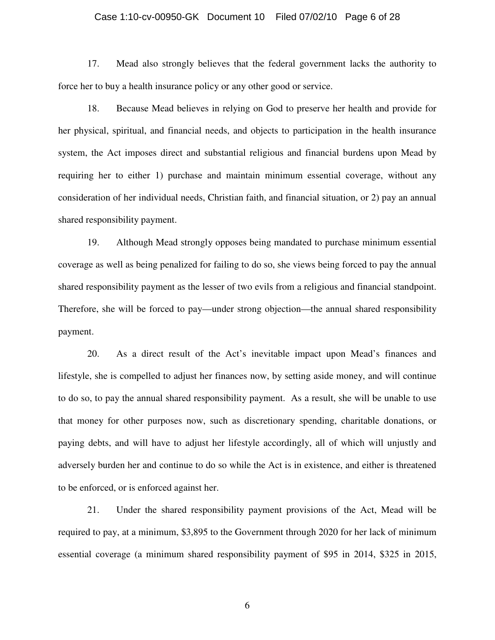### Case 1:10-cv-00950-GK Document 10 Filed 07/02/10 Page 6 of 28

17. Mead also strongly believes that the federal government lacks the authority to force her to buy a health insurance policy or any other good or service.

18. Because Mead believes in relying on God to preserve her health and provide for her physical, spiritual, and financial needs, and objects to participation in the health insurance system, the Act imposes direct and substantial religious and financial burdens upon Mead by requiring her to either 1) purchase and maintain minimum essential coverage, without any consideration of her individual needs, Christian faith, and financial situation, or 2) pay an annual shared responsibility payment.

19. Although Mead strongly opposes being mandated to purchase minimum essential coverage as well as being penalized for failing to do so, she views being forced to pay the annual shared responsibility payment as the lesser of two evils from a religious and financial standpoint. Therefore, she will be forced to pay—under strong objection—the annual shared responsibility payment.

20. As a direct result of the Act's inevitable impact upon Mead's finances and lifestyle, she is compelled to adjust her finances now, by setting aside money, and will continue to do so, to pay the annual shared responsibility payment. As a result, she will be unable to use that money for other purposes now, such as discretionary spending, charitable donations, or paying debts, and will have to adjust her lifestyle accordingly, all of which will unjustly and adversely burden her and continue to do so while the Act is in existence, and either is threatened to be enforced, or is enforced against her.

21. Under the shared responsibility payment provisions of the Act, Mead will be required to pay, at a minimum, \$3,895 to the Government through 2020 for her lack of minimum essential coverage (a minimum shared responsibility payment of \$95 in 2014, \$325 in 2015,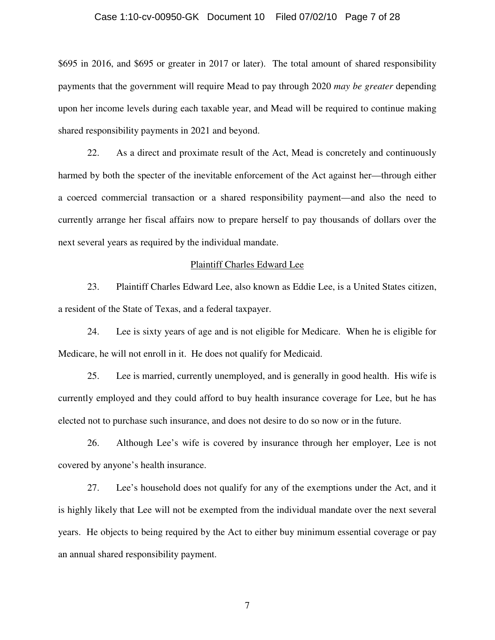### Case 1:10-cv-00950-GK Document 10 Filed 07/02/10 Page 7 of 28

\$695 in 2016, and \$695 or greater in 2017 or later). The total amount of shared responsibility payments that the government will require Mead to pay through 2020 *may be greater* depending upon her income levels during each taxable year, and Mead will be required to continue making shared responsibility payments in 2021 and beyond.

22. As a direct and proximate result of the Act, Mead is concretely and continuously harmed by both the specter of the inevitable enforcement of the Act against her—through either a coerced commercial transaction or a shared responsibility payment—and also the need to currently arrange her fiscal affairs now to prepare herself to pay thousands of dollars over the next several years as required by the individual mandate.

### Plaintiff Charles Edward Lee

23. Plaintiff Charles Edward Lee, also known as Eddie Lee, is a United States citizen, a resident of the State of Texas, and a federal taxpayer.

24. Lee is sixty years of age and is not eligible for Medicare. When he is eligible for Medicare, he will not enroll in it. He does not qualify for Medicaid.

25. Lee is married, currently unemployed, and is generally in good health. His wife is currently employed and they could afford to buy health insurance coverage for Lee, but he has elected not to purchase such insurance, and does not desire to do so now or in the future.

26. Although Lee's wife is covered by insurance through her employer, Lee is not covered by anyone's health insurance.

27. Lee's household does not qualify for any of the exemptions under the Act, and it is highly likely that Lee will not be exempted from the individual mandate over the next several years. He objects to being required by the Act to either buy minimum essential coverage or pay an annual shared responsibility payment.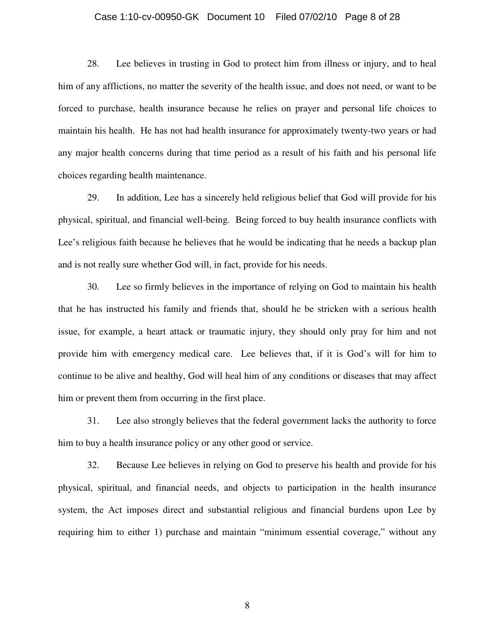### Case 1:10-cv-00950-GK Document 10 Filed 07/02/10 Page 8 of 28

28. Lee believes in trusting in God to protect him from illness or injury, and to heal him of any afflictions, no matter the severity of the health issue, and does not need, or want to be forced to purchase, health insurance because he relies on prayer and personal life choices to maintain his health. He has not had health insurance for approximately twenty-two years or had any major health concerns during that time period as a result of his faith and his personal life choices regarding health maintenance.

29. In addition, Lee has a sincerely held religious belief that God will provide for his physical, spiritual, and financial well-being. Being forced to buy health insurance conflicts with Lee's religious faith because he believes that he would be indicating that he needs a backup plan and is not really sure whether God will, in fact, provide for his needs.

30. Lee so firmly believes in the importance of relying on God to maintain his health that he has instructed his family and friends that, should he be stricken with a serious health issue, for example, a heart attack or traumatic injury, they should only pray for him and not provide him with emergency medical care. Lee believes that, if it is God's will for him to continue to be alive and healthy, God will heal him of any conditions or diseases that may affect him or prevent them from occurring in the first place.

31. Lee also strongly believes that the federal government lacks the authority to force him to buy a health insurance policy or any other good or service.

32. Because Lee believes in relying on God to preserve his health and provide for his physical, spiritual, and financial needs, and objects to participation in the health insurance system, the Act imposes direct and substantial religious and financial burdens upon Lee by requiring him to either 1) purchase and maintain "minimum essential coverage," without any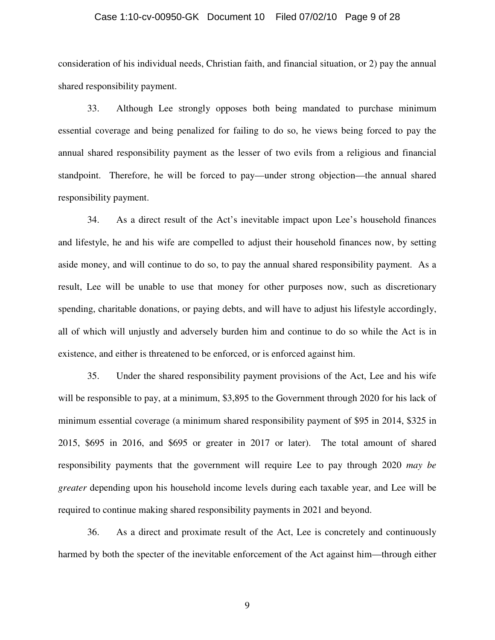### Case 1:10-cv-00950-GK Document 10 Filed 07/02/10 Page 9 of 28

consideration of his individual needs, Christian faith, and financial situation, or 2) pay the annual shared responsibility payment.

33. Although Lee strongly opposes both being mandated to purchase minimum essential coverage and being penalized for failing to do so, he views being forced to pay the annual shared responsibility payment as the lesser of two evils from a religious and financial standpoint. Therefore, he will be forced to pay—under strong objection—the annual shared responsibility payment.

34. As a direct result of the Act's inevitable impact upon Lee's household finances and lifestyle, he and his wife are compelled to adjust their household finances now, by setting aside money, and will continue to do so, to pay the annual shared responsibility payment. As a result, Lee will be unable to use that money for other purposes now, such as discretionary spending, charitable donations, or paying debts, and will have to adjust his lifestyle accordingly, all of which will unjustly and adversely burden him and continue to do so while the Act is in existence, and either is threatened to be enforced, or is enforced against him.

35. Under the shared responsibility payment provisions of the Act, Lee and his wife will be responsible to pay, at a minimum, \$3,895 to the Government through 2020 for his lack of minimum essential coverage (a minimum shared responsibility payment of \$95 in 2014, \$325 in 2015, \$695 in 2016, and \$695 or greater in 2017 or later). The total amount of shared responsibility payments that the government will require Lee to pay through 2020 *may be greater* depending upon his household income levels during each taxable year, and Lee will be required to continue making shared responsibility payments in 2021 and beyond.

36. As a direct and proximate result of the Act, Lee is concretely and continuously harmed by both the specter of the inevitable enforcement of the Act against him—through either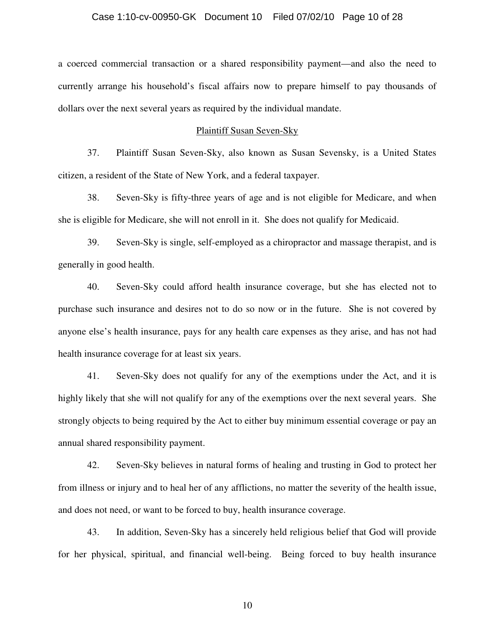### Case 1:10-cv-00950-GK Document 10 Filed 07/02/10 Page 10 of 28

a coerced commercial transaction or a shared responsibility payment—and also the need to currently arrange his household's fiscal affairs now to prepare himself to pay thousands of dollars over the next several years as required by the individual mandate.

### Plaintiff Susan Seven-Sky

37. Plaintiff Susan Seven-Sky, also known as Susan Sevensky, is a United States citizen, a resident of the State of New York, and a federal taxpayer.

38. Seven-Sky is fifty-three years of age and is not eligible for Medicare, and when she is eligible for Medicare, she will not enroll in it. She does not qualify for Medicaid.

39. Seven-Sky is single, self-employed as a chiropractor and massage therapist, and is generally in good health.

40. Seven-Sky could afford health insurance coverage, but she has elected not to purchase such insurance and desires not to do so now or in the future. She is not covered by anyone else's health insurance, pays for any health care expenses as they arise, and has not had health insurance coverage for at least six years.

41. Seven-Sky does not qualify for any of the exemptions under the Act, and it is highly likely that she will not qualify for any of the exemptions over the next several years. She strongly objects to being required by the Act to either buy minimum essential coverage or pay an annual shared responsibility payment.

42. Seven-Sky believes in natural forms of healing and trusting in God to protect her from illness or injury and to heal her of any afflictions, no matter the severity of the health issue, and does not need, or want to be forced to buy, health insurance coverage.

43. In addition, Seven-Sky has a sincerely held religious belief that God will provide for her physical, spiritual, and financial well-being. Being forced to buy health insurance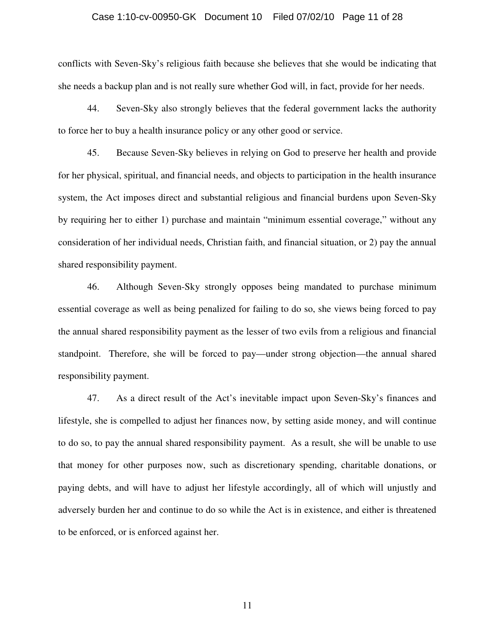### Case 1:10-cv-00950-GK Document 10 Filed 07/02/10 Page 11 of 28

conflicts with Seven-Sky's religious faith because she believes that she would be indicating that she needs a backup plan and is not really sure whether God will, in fact, provide for her needs.

44. Seven-Sky also strongly believes that the federal government lacks the authority to force her to buy a health insurance policy or any other good or service.

45. Because Seven-Sky believes in relying on God to preserve her health and provide for her physical, spiritual, and financial needs, and objects to participation in the health insurance system, the Act imposes direct and substantial religious and financial burdens upon Seven-Sky by requiring her to either 1) purchase and maintain "minimum essential coverage," without any consideration of her individual needs, Christian faith, and financial situation, or 2) pay the annual shared responsibility payment.

46. Although Seven-Sky strongly opposes being mandated to purchase minimum essential coverage as well as being penalized for failing to do so, she views being forced to pay the annual shared responsibility payment as the lesser of two evils from a religious and financial standpoint. Therefore, she will be forced to pay—under strong objection—the annual shared responsibility payment.

47. As a direct result of the Act's inevitable impact upon Seven-Sky's finances and lifestyle, she is compelled to adjust her finances now, by setting aside money, and will continue to do so, to pay the annual shared responsibility payment. As a result, she will be unable to use that money for other purposes now, such as discretionary spending, charitable donations, or paying debts, and will have to adjust her lifestyle accordingly, all of which will unjustly and adversely burden her and continue to do so while the Act is in existence, and either is threatened to be enforced, or is enforced against her.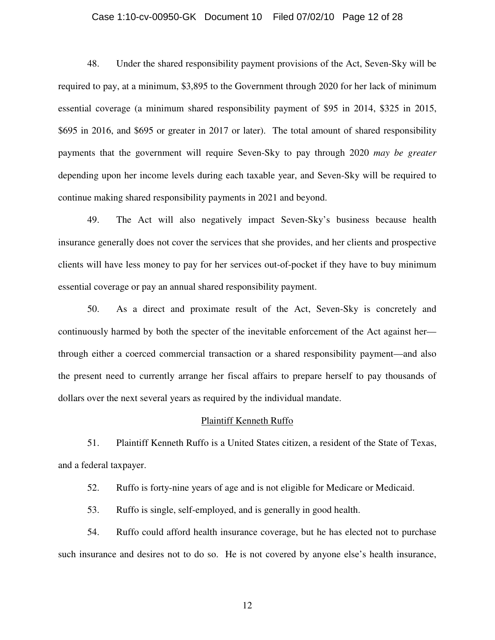# Case 1:10-cv-00950-GK Document 10 Filed 07/02/10 Page 12 of 28

48. Under the shared responsibility payment provisions of the Act, Seven-Sky will be required to pay, at a minimum, \$3,895 to the Government through 2020 for her lack of minimum essential coverage (a minimum shared responsibility payment of \$95 in 2014, \$325 in 2015, \$695 in 2016, and \$695 or greater in 2017 or later). The total amount of shared responsibility payments that the government will require Seven-Sky to pay through 2020 *may be greater* depending upon her income levels during each taxable year, and Seven-Sky will be required to continue making shared responsibility payments in 2021 and beyond.

49. The Act will also negatively impact Seven-Sky's business because health insurance generally does not cover the services that she provides, and her clients and prospective clients will have less money to pay for her services out-of-pocket if they have to buy minimum essential coverage or pay an annual shared responsibility payment.

50. As a direct and proximate result of the Act, Seven-Sky is concretely and continuously harmed by both the specter of the inevitable enforcement of the Act against her through either a coerced commercial transaction or a shared responsibility payment—and also the present need to currently arrange her fiscal affairs to prepare herself to pay thousands of dollars over the next several years as required by the individual mandate.

#### Plaintiff Kenneth Ruffo

51. Plaintiff Kenneth Ruffo is a United States citizen, a resident of the State of Texas, and a federal taxpayer.

52. Ruffo is forty-nine years of age and is not eligible for Medicare or Medicaid.

53. Ruffo is single, self-employed, and is generally in good health.

54. Ruffo could afford health insurance coverage, but he has elected not to purchase such insurance and desires not to do so. He is not covered by anyone else's health insurance,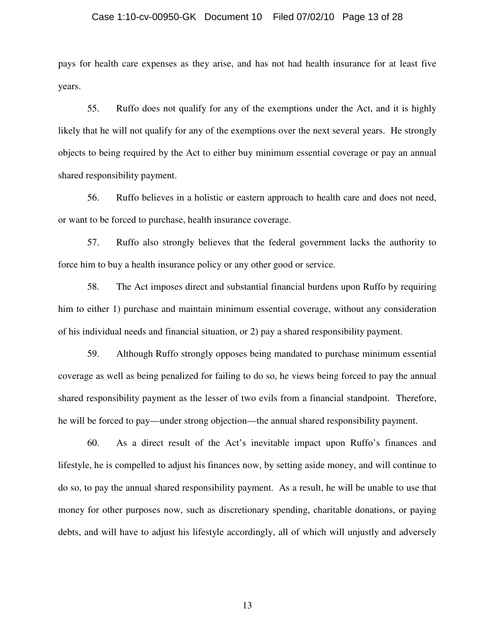### Case 1:10-cv-00950-GK Document 10 Filed 07/02/10 Page 13 of 28

pays for health care expenses as they arise, and has not had health insurance for at least five years.

55. Ruffo does not qualify for any of the exemptions under the Act, and it is highly likely that he will not qualify for any of the exemptions over the next several years. He strongly objects to being required by the Act to either buy minimum essential coverage or pay an annual shared responsibility payment.

56. Ruffo believes in a holistic or eastern approach to health care and does not need, or want to be forced to purchase, health insurance coverage.

57. Ruffo also strongly believes that the federal government lacks the authority to force him to buy a health insurance policy or any other good or service.

58. The Act imposes direct and substantial financial burdens upon Ruffo by requiring him to either 1) purchase and maintain minimum essential coverage, without any consideration of his individual needs and financial situation, or 2) pay a shared responsibility payment.

59. Although Ruffo strongly opposes being mandated to purchase minimum essential coverage as well as being penalized for failing to do so, he views being forced to pay the annual shared responsibility payment as the lesser of two evils from a financial standpoint. Therefore, he will be forced to pay—under strong objection—the annual shared responsibility payment.

60. As a direct result of the Act's inevitable impact upon Ruffo's finances and lifestyle, he is compelled to adjust his finances now, by setting aside money, and will continue to do so, to pay the annual shared responsibility payment. As a result, he will be unable to use that money for other purposes now, such as discretionary spending, charitable donations, or paying debts, and will have to adjust his lifestyle accordingly, all of which will unjustly and adversely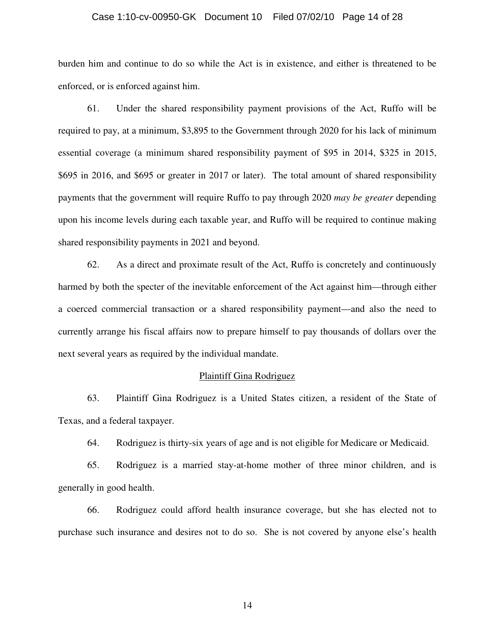### Case 1:10-cv-00950-GK Document 10 Filed 07/02/10 Page 14 of 28

burden him and continue to do so while the Act is in existence, and either is threatened to be enforced, or is enforced against him.

61. Under the shared responsibility payment provisions of the Act, Ruffo will be required to pay, at a minimum, \$3,895 to the Government through 2020 for his lack of minimum essential coverage (a minimum shared responsibility payment of \$95 in 2014, \$325 in 2015, \$695 in 2016, and \$695 or greater in 2017 or later). The total amount of shared responsibility payments that the government will require Ruffo to pay through 2020 *may be greater* depending upon his income levels during each taxable year, and Ruffo will be required to continue making shared responsibility payments in 2021 and beyond.

62. As a direct and proximate result of the Act, Ruffo is concretely and continuously harmed by both the specter of the inevitable enforcement of the Act against him—through either a coerced commercial transaction or a shared responsibility payment—and also the need to currently arrange his fiscal affairs now to prepare himself to pay thousands of dollars over the next several years as required by the individual mandate.

### Plaintiff Gina Rodriguez

63. Plaintiff Gina Rodriguez is a United States citizen, a resident of the State of Texas, and a federal taxpayer.

64. Rodriguez is thirty-six years of age and is not eligible for Medicare or Medicaid.

65. Rodriguez is a married stay-at-home mother of three minor children, and is generally in good health.

66. Rodriguez could afford health insurance coverage, but she has elected not to purchase such insurance and desires not to do so. She is not covered by anyone else's health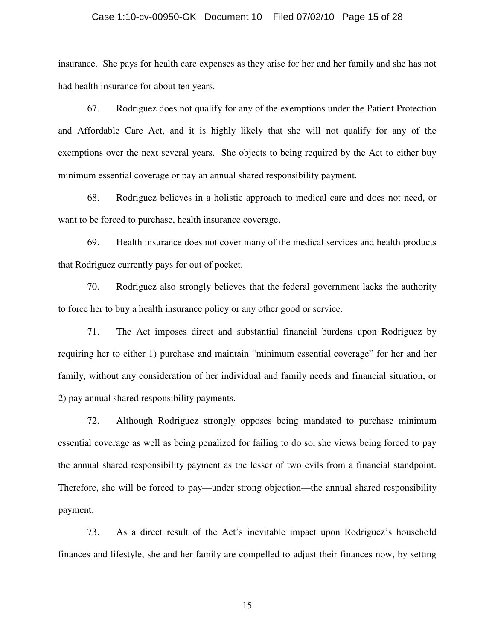### Case 1:10-cv-00950-GK Document 10 Filed 07/02/10 Page 15 of 28

insurance. She pays for health care expenses as they arise for her and her family and she has not had health insurance for about ten years.

67. Rodriguez does not qualify for any of the exemptions under the Patient Protection and Affordable Care Act, and it is highly likely that she will not qualify for any of the exemptions over the next several years. She objects to being required by the Act to either buy minimum essential coverage or pay an annual shared responsibility payment.

68. Rodriguez believes in a holistic approach to medical care and does not need, or want to be forced to purchase, health insurance coverage.

69. Health insurance does not cover many of the medical services and health products that Rodriguez currently pays for out of pocket.

70. Rodriguez also strongly believes that the federal government lacks the authority to force her to buy a health insurance policy or any other good or service.

71. The Act imposes direct and substantial financial burdens upon Rodriguez by requiring her to either 1) purchase and maintain "minimum essential coverage" for her and her family, without any consideration of her individual and family needs and financial situation, or 2) pay annual shared responsibility payments.

72. Although Rodriguez strongly opposes being mandated to purchase minimum essential coverage as well as being penalized for failing to do so, she views being forced to pay the annual shared responsibility payment as the lesser of two evils from a financial standpoint. Therefore, she will be forced to pay—under strong objection—the annual shared responsibility payment.

73. As a direct result of the Act's inevitable impact upon Rodriguez's household finances and lifestyle, she and her family are compelled to adjust their finances now, by setting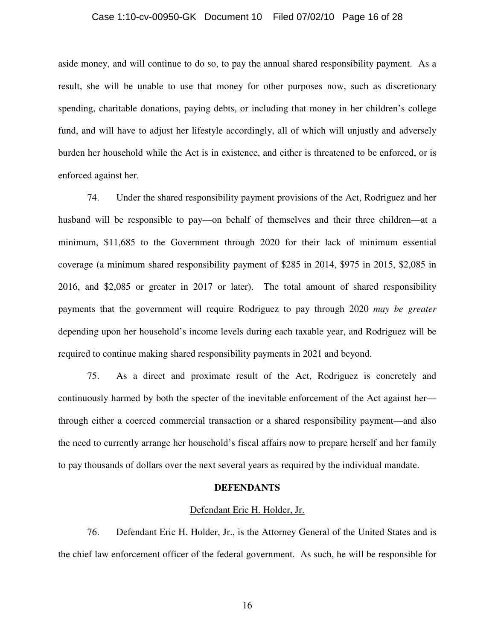### Case 1:10-cv-00950-GK Document 10 Filed 07/02/10 Page 16 of 28

aside money, and will continue to do so, to pay the annual shared responsibility payment. As a result, she will be unable to use that money for other purposes now, such as discretionary spending, charitable donations, paying debts, or including that money in her children's college fund, and will have to adjust her lifestyle accordingly, all of which will unjustly and adversely burden her household while the Act is in existence, and either is threatened to be enforced, or is enforced against her.

74. Under the shared responsibility payment provisions of the Act, Rodriguez and her husband will be responsible to pay—on behalf of themselves and their three children—at a minimum, \$11,685 to the Government through 2020 for their lack of minimum essential coverage (a minimum shared responsibility payment of \$285 in 2014, \$975 in 2015, \$2,085 in 2016, and \$2,085 or greater in 2017 or later). The total amount of shared responsibility payments that the government will require Rodriguez to pay through 2020 *may be greater* depending upon her household's income levels during each taxable year, and Rodriguez will be required to continue making shared responsibility payments in 2021 and beyond.

75. As a direct and proximate result of the Act, Rodriguez is concretely and continuously harmed by both the specter of the inevitable enforcement of the Act against her through either a coerced commercial transaction or a shared responsibility payment—and also the need to currently arrange her household's fiscal affairs now to prepare herself and her family to pay thousands of dollars over the next several years as required by the individual mandate.

#### **DEFENDANTS**

#### Defendant Eric H. Holder, Jr.

76. Defendant Eric H. Holder, Jr., is the Attorney General of the United States and is the chief law enforcement officer of the federal government. As such, he will be responsible for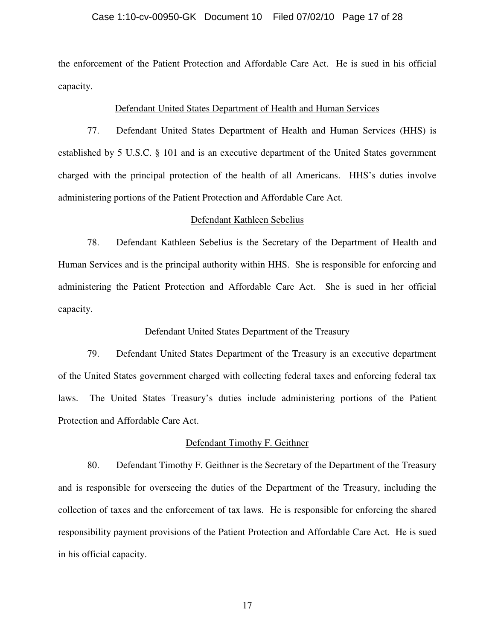### Case 1:10-cv-00950-GK Document 10 Filed 07/02/10 Page 17 of 28

the enforcement of the Patient Protection and Affordable Care Act. He is sued in his official capacity.

### Defendant United States Department of Health and Human Services

77. Defendant United States Department of Health and Human Services (HHS) is established by 5 U.S.C. § 101 and is an executive department of the United States government charged with the principal protection of the health of all Americans. HHS's duties involve administering portions of the Patient Protection and Affordable Care Act.

### Defendant Kathleen Sebelius

78. Defendant Kathleen Sebelius is the Secretary of the Department of Health and Human Services and is the principal authority within HHS. She is responsible for enforcing and administering the Patient Protection and Affordable Care Act. She is sued in her official capacity.

### Defendant United States Department of the Treasury

79. Defendant United States Department of the Treasury is an executive department of the United States government charged with collecting federal taxes and enforcing federal tax laws. The United States Treasury's duties include administering portions of the Patient Protection and Affordable Care Act.

### Defendant Timothy F. Geithner

80. Defendant Timothy F. Geithner is the Secretary of the Department of the Treasury and is responsible for overseeing the duties of the Department of the Treasury, including the collection of taxes and the enforcement of tax laws. He is responsible for enforcing the shared responsibility payment provisions of the Patient Protection and Affordable Care Act. He is sued in his official capacity.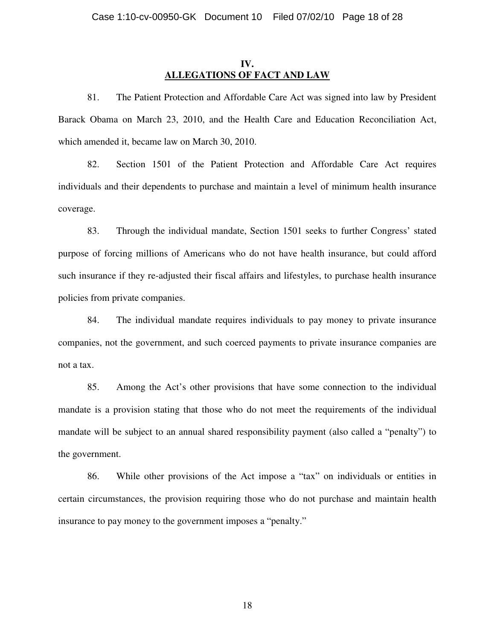## **IV. ALLEGATIONS OF FACT AND LAW**

81. The Patient Protection and Affordable Care Act was signed into law by President Barack Obama on March 23, 2010, and the Health Care and Education Reconciliation Act, which amended it, became law on March 30, 2010.

82. Section 1501 of the Patient Protection and Affordable Care Act requires individuals and their dependents to purchase and maintain a level of minimum health insurance coverage.

83. Through the individual mandate, Section 1501 seeks to further Congress' stated purpose of forcing millions of Americans who do not have health insurance, but could afford such insurance if they re-adjusted their fiscal affairs and lifestyles, to purchase health insurance policies from private companies.

84. The individual mandate requires individuals to pay money to private insurance companies, not the government, and such coerced payments to private insurance companies are not a tax.

85. Among the Act's other provisions that have some connection to the individual mandate is a provision stating that those who do not meet the requirements of the individual mandate will be subject to an annual shared responsibility payment (also called a "penalty") to the government.

86. While other provisions of the Act impose a "tax" on individuals or entities in certain circumstances, the provision requiring those who do not purchase and maintain health insurance to pay money to the government imposes a "penalty."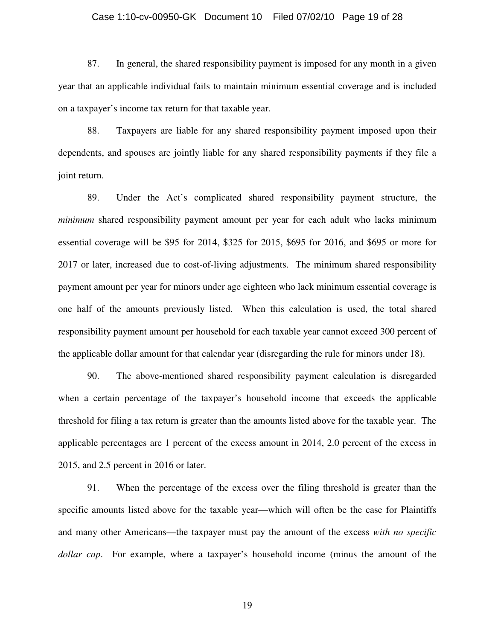### Case 1:10-cv-00950-GK Document 10 Filed 07/02/10 Page 19 of 28

87. In general, the shared responsibility payment is imposed for any month in a given year that an applicable individual fails to maintain minimum essential coverage and is included on a taxpayer's income tax return for that taxable year.

88. Taxpayers are liable for any shared responsibility payment imposed upon their dependents, and spouses are jointly liable for any shared responsibility payments if they file a joint return.

89. Under the Act's complicated shared responsibility payment structure, the *minimum* shared responsibility payment amount per year for each adult who lacks minimum essential coverage will be \$95 for 2014, \$325 for 2015, \$695 for 2016, and \$695 or more for 2017 or later, increased due to cost-of-living adjustments. The minimum shared responsibility payment amount per year for minors under age eighteen who lack minimum essential coverage is one half of the amounts previously listed. When this calculation is used, the total shared responsibility payment amount per household for each taxable year cannot exceed 300 percent of the applicable dollar amount for that calendar year (disregarding the rule for minors under 18).

90. The above-mentioned shared responsibility payment calculation is disregarded when a certain percentage of the taxpayer's household income that exceeds the applicable threshold for filing a tax return is greater than the amounts listed above for the taxable year. The applicable percentages are 1 percent of the excess amount in 2014, 2.0 percent of the excess in 2015, and 2.5 percent in 2016 or later.

91. When the percentage of the excess over the filing threshold is greater than the specific amounts listed above for the taxable year—which will often be the case for Plaintiffs and many other Americans—the taxpayer must pay the amount of the excess *with no specific dollar cap*. For example, where a taxpayer's household income (minus the amount of the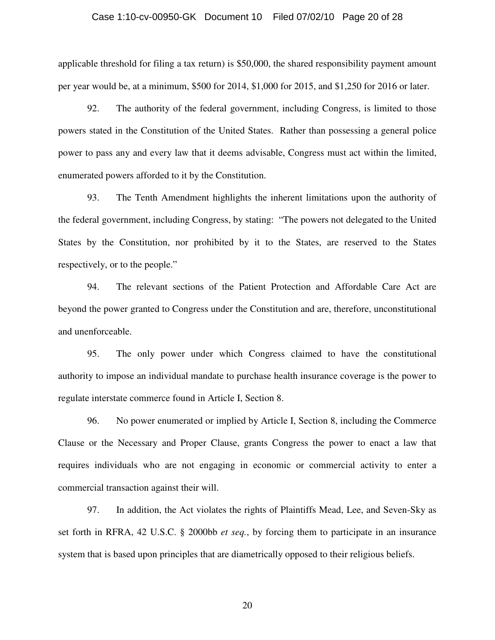### Case 1:10-cv-00950-GK Document 10 Filed 07/02/10 Page 20 of 28

applicable threshold for filing a tax return) is \$50,000, the shared responsibility payment amount per year would be, at a minimum, \$500 for 2014, \$1,000 for 2015, and \$1,250 for 2016 or later.

92. The authority of the federal government, including Congress, is limited to those powers stated in the Constitution of the United States. Rather than possessing a general police power to pass any and every law that it deems advisable, Congress must act within the limited, enumerated powers afforded to it by the Constitution.

93. The Tenth Amendment highlights the inherent limitations upon the authority of the federal government, including Congress, by stating: "The powers not delegated to the United States by the Constitution, nor prohibited by it to the States, are reserved to the States respectively, or to the people."

94. The relevant sections of the Patient Protection and Affordable Care Act are beyond the power granted to Congress under the Constitution and are, therefore, unconstitutional and unenforceable.

95. The only power under which Congress claimed to have the constitutional authority to impose an individual mandate to purchase health insurance coverage is the power to regulate interstate commerce found in Article I, Section 8.

96. No power enumerated or implied by Article I, Section 8, including the Commerce Clause or the Necessary and Proper Clause, grants Congress the power to enact a law that requires individuals who are not engaging in economic or commercial activity to enter a commercial transaction against their will.

97. In addition, the Act violates the rights of Plaintiffs Mead, Lee, and Seven-Sky as set forth in RFRA, 42 U.S.C. § 2000bb *et seq.*, by forcing them to participate in an insurance system that is based upon principles that are diametrically opposed to their religious beliefs.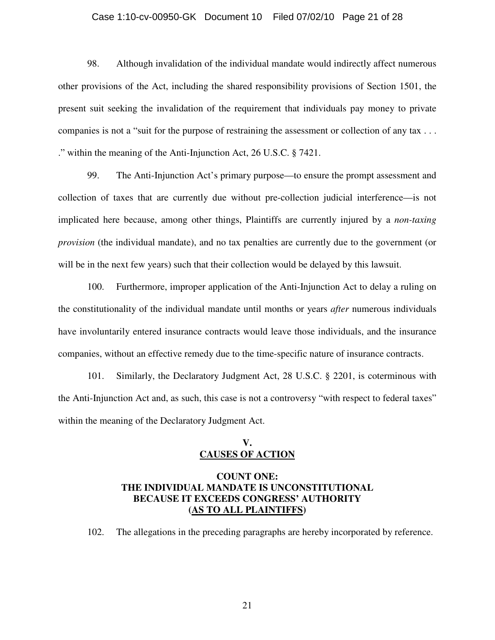### Case 1:10-cv-00950-GK Document 10 Filed 07/02/10 Page 21 of 28

98. Although invalidation of the individual mandate would indirectly affect numerous other provisions of the Act, including the shared responsibility provisions of Section 1501, the present suit seeking the invalidation of the requirement that individuals pay money to private companies is not a "suit for the purpose of restraining the assessment or collection of any tax . . . ." within the meaning of the Anti-Injunction Act, 26 U.S.C. § 7421.

99. The Anti-Injunction Act's primary purpose—to ensure the prompt assessment and collection of taxes that are currently due without pre-collection judicial interference—is not implicated here because, among other things, Plaintiffs are currently injured by a *non-taxing provision* (the individual mandate), and no tax penalties are currently due to the government (or will be in the next few years) such that their collection would be delayed by this lawsuit.

100. Furthermore, improper application of the Anti-Injunction Act to delay a ruling on the constitutionality of the individual mandate until months or years *after* numerous individuals have involuntarily entered insurance contracts would leave those individuals, and the insurance companies, without an effective remedy due to the time-specific nature of insurance contracts.

101. Similarly, the Declaratory Judgment Act, 28 U.S.C. § 2201, is coterminous with the Anti-Injunction Act and, as such, this case is not a controversy "with respect to federal taxes" within the meaning of the Declaratory Judgment Act.

## **V. CAUSES OF ACTION**

# **COUNT ONE: THE INDIVIDUAL MANDATE IS UNCONSTITUTIONAL BECAUSE IT EXCEEDS CONGRESS' AUTHORITY (AS TO ALL PLAINTIFFS)**

102. The allegations in the preceding paragraphs are hereby incorporated by reference.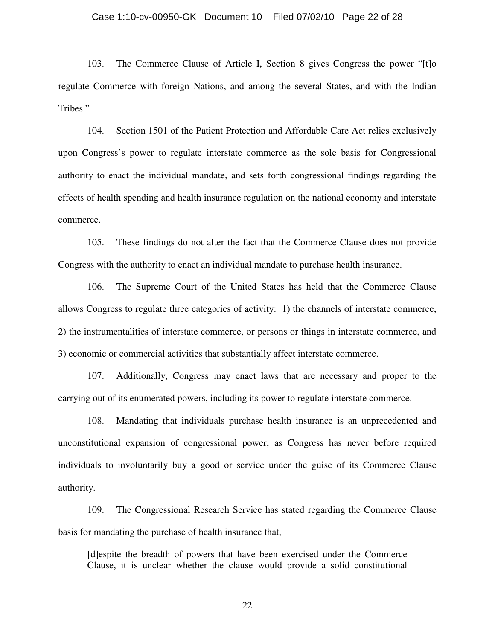### Case 1:10-cv-00950-GK Document 10 Filed 07/02/10 Page 22 of 28

103. The Commerce Clause of Article I, Section 8 gives Congress the power "[t]o regulate Commerce with foreign Nations, and among the several States, and with the Indian Tribes."

104. Section 1501 of the Patient Protection and Affordable Care Act relies exclusively upon Congress's power to regulate interstate commerce as the sole basis for Congressional authority to enact the individual mandate, and sets forth congressional findings regarding the effects of health spending and health insurance regulation on the national economy and interstate commerce.

105. These findings do not alter the fact that the Commerce Clause does not provide Congress with the authority to enact an individual mandate to purchase health insurance.

106. The Supreme Court of the United States has held that the Commerce Clause allows Congress to regulate three categories of activity: 1) the channels of interstate commerce, 2) the instrumentalities of interstate commerce, or persons or things in interstate commerce, and 3) economic or commercial activities that substantially affect interstate commerce.

107. Additionally, Congress may enact laws that are necessary and proper to the carrying out of its enumerated powers, including its power to regulate interstate commerce.

108. Mandating that individuals purchase health insurance is an unprecedented and unconstitutional expansion of congressional power, as Congress has never before required individuals to involuntarily buy a good or service under the guise of its Commerce Clause authority.

109. The Congressional Research Service has stated regarding the Commerce Clause basis for mandating the purchase of health insurance that,

[d]espite the breadth of powers that have been exercised under the Commerce Clause, it is unclear whether the clause would provide a solid constitutional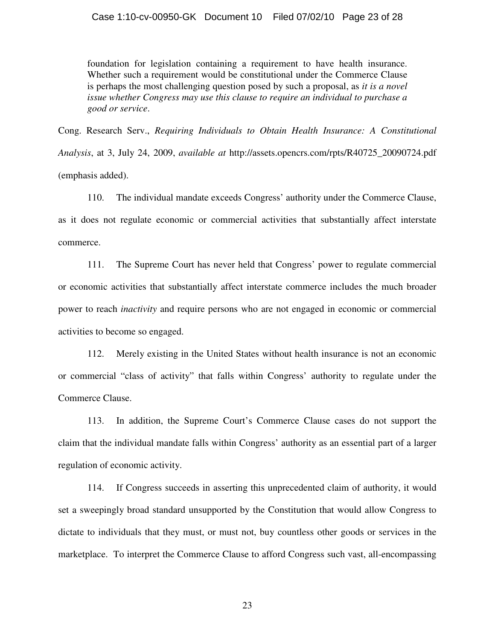## Case 1:10-cv-00950-GK Document 10 Filed 07/02/10 Page 23 of 28

foundation for legislation containing a requirement to have health insurance. Whether such a requirement would be constitutional under the Commerce Clause is perhaps the most challenging question posed by such a proposal, as *it is a novel issue whether Congress may use this clause to require an individual to purchase a good or service*.

Cong. Research Serv., *Requiring Individuals to Obtain Health Insurance: A Constitutional Analysis*, at 3, July 24, 2009, *available at* http://assets.opencrs.com/rpts/R40725\_20090724.pdf (emphasis added).

110. The individual mandate exceeds Congress' authority under the Commerce Clause, as it does not regulate economic or commercial activities that substantially affect interstate commerce.

111. The Supreme Court has never held that Congress' power to regulate commercial or economic activities that substantially affect interstate commerce includes the much broader power to reach *inactivity* and require persons who are not engaged in economic or commercial activities to become so engaged.

112. Merely existing in the United States without health insurance is not an economic or commercial "class of activity" that falls within Congress' authority to regulate under the Commerce Clause.

113. In addition, the Supreme Court's Commerce Clause cases do not support the claim that the individual mandate falls within Congress' authority as an essential part of a larger regulation of economic activity.

114. If Congress succeeds in asserting this unprecedented claim of authority, it would set a sweepingly broad standard unsupported by the Constitution that would allow Congress to dictate to individuals that they must, or must not, buy countless other goods or services in the marketplace. To interpret the Commerce Clause to afford Congress such vast, all-encompassing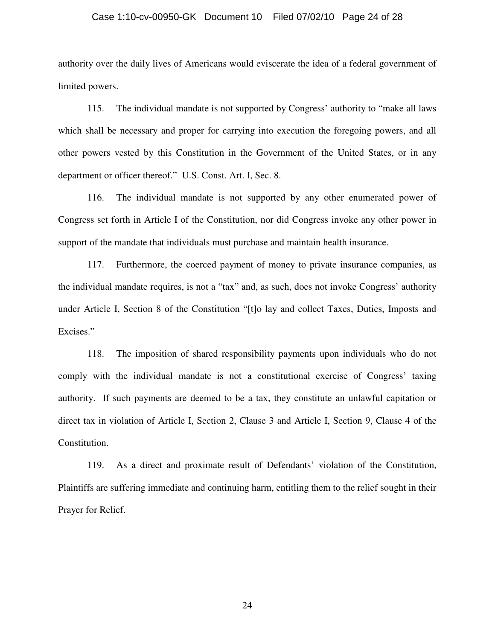### Case 1:10-cv-00950-GK Document 10 Filed 07/02/10 Page 24 of 28

authority over the daily lives of Americans would eviscerate the idea of a federal government of limited powers.

115. The individual mandate is not supported by Congress' authority to "make all laws which shall be necessary and proper for carrying into execution the foregoing powers, and all other powers vested by this Constitution in the Government of the United States, or in any department or officer thereof." U.S. Const. Art. I, Sec. 8.

116. The individual mandate is not supported by any other enumerated power of Congress set forth in Article I of the Constitution, nor did Congress invoke any other power in support of the mandate that individuals must purchase and maintain health insurance.

117. Furthermore, the coerced payment of money to private insurance companies, as the individual mandate requires, is not a "tax" and, as such, does not invoke Congress' authority under Article I, Section 8 of the Constitution "[t]o lay and collect Taxes, Duties, Imposts and Excises."

118. The imposition of shared responsibility payments upon individuals who do not comply with the individual mandate is not a constitutional exercise of Congress' taxing authority. If such payments are deemed to be a tax, they constitute an unlawful capitation or direct tax in violation of Article I, Section 2, Clause 3 and Article I, Section 9, Clause 4 of the Constitution.

119. As a direct and proximate result of Defendants' violation of the Constitution, Plaintiffs are suffering immediate and continuing harm, entitling them to the relief sought in their Prayer for Relief.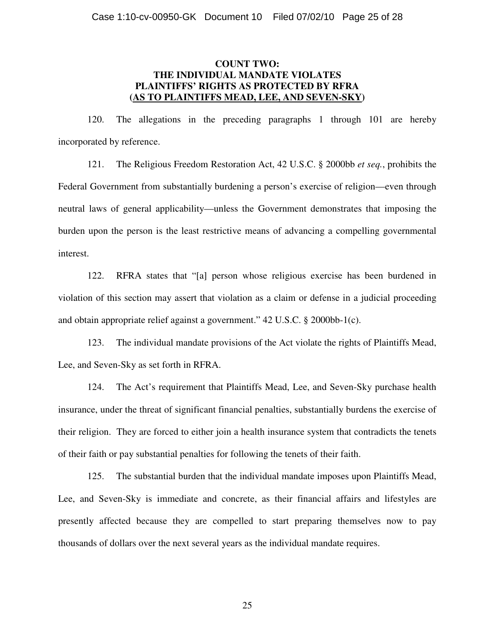# **COUNT TWO: THE INDIVIDUAL MANDATE VIOLATES PLAINTIFFS' RIGHTS AS PROTECTED BY RFRA (AS TO PLAINTIFFS MEAD, LEE, AND SEVEN-SKY)**

120. The allegations in the preceding paragraphs 1 through 101 are hereby incorporated by reference.

121. The Religious Freedom Restoration Act, 42 U.S.C. § 2000bb *et seq.*, prohibits the Federal Government from substantially burdening a person's exercise of religion—even through neutral laws of general applicability—unless the Government demonstrates that imposing the burden upon the person is the least restrictive means of advancing a compelling governmental interest.

122. RFRA states that "[a] person whose religious exercise has been burdened in violation of this section may assert that violation as a claim or defense in a judicial proceeding and obtain appropriate relief against a government." 42 U.S.C. § 2000bb-1(c).

123. The individual mandate provisions of the Act violate the rights of Plaintiffs Mead, Lee, and Seven-Sky as set forth in RFRA.

124. The Act's requirement that Plaintiffs Mead, Lee, and Seven-Sky purchase health insurance, under the threat of significant financial penalties, substantially burdens the exercise of their religion. They are forced to either join a health insurance system that contradicts the tenets of their faith or pay substantial penalties for following the tenets of their faith.

125. The substantial burden that the individual mandate imposes upon Plaintiffs Mead, Lee, and Seven-Sky is immediate and concrete, as their financial affairs and lifestyles are presently affected because they are compelled to start preparing themselves now to pay thousands of dollars over the next several years as the individual mandate requires.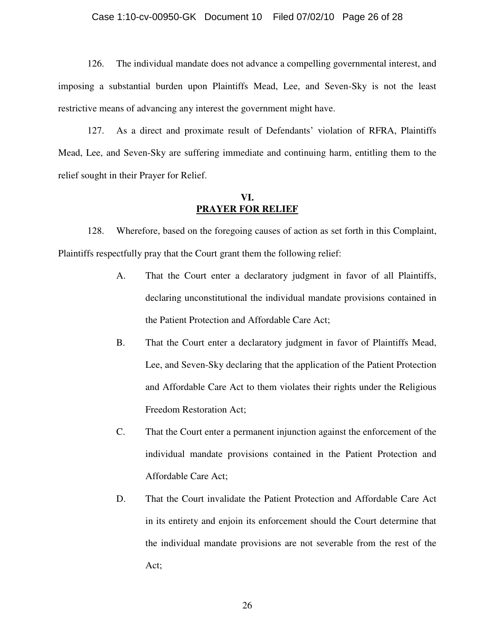### Case 1:10-cv-00950-GK Document 10 Filed 07/02/10 Page 26 of 28

126. The individual mandate does not advance a compelling governmental interest, and imposing a substantial burden upon Plaintiffs Mead, Lee, and Seven-Sky is not the least restrictive means of advancing any interest the government might have.

127. As a direct and proximate result of Defendants' violation of RFRA, Plaintiffs Mead, Lee, and Seven-Sky are suffering immediate and continuing harm, entitling them to the relief sought in their Prayer for Relief.

## **VI. PRAYER FOR RELIEF**

128. Wherefore, based on the foregoing causes of action as set forth in this Complaint, Plaintiffs respectfully pray that the Court grant them the following relief:

- A. That the Court enter a declaratory judgment in favor of all Plaintiffs, declaring unconstitutional the individual mandate provisions contained in the Patient Protection and Affordable Care Act;
- B. That the Court enter a declaratory judgment in favor of Plaintiffs Mead, Lee, and Seven-Sky declaring that the application of the Patient Protection and Affordable Care Act to them violates their rights under the Religious Freedom Restoration Act;
- C. That the Court enter a permanent injunction against the enforcement of the individual mandate provisions contained in the Patient Protection and Affordable Care Act;
- D. That the Court invalidate the Patient Protection and Affordable Care Act in its entirety and enjoin its enforcement should the Court determine that the individual mandate provisions are not severable from the rest of the Act;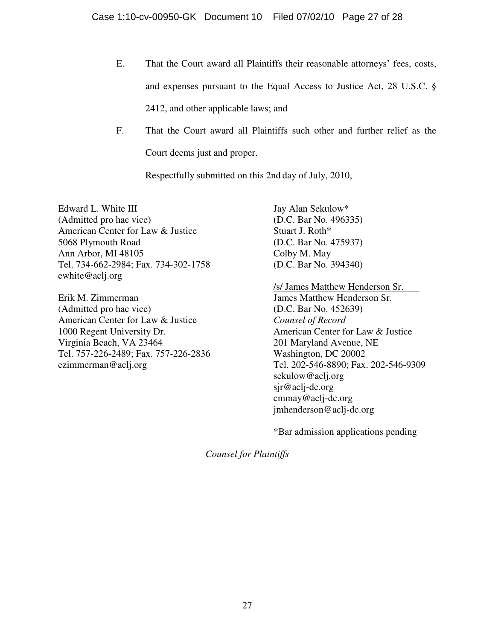- E. That the Court award all Plaintiffs their reasonable attorneys' fees, costs, and expenses pursuant to the Equal Access to Justice Act, 28 U.S.C. § 2412, and other applicable laws; and
- F. That the Court award all Plaintiffs such other and further relief as the Court deems just and proper.

Respectfully submitted on this 2nd day of July, 2010,

Edward L. White III (Admitted pro hac vice) American Center for Law & Justice 5068 Plymouth Road Ann Arbor, MI 48105 Tel. 734-662-2984; Fax. 734-302-1758 ewhite@aclj.org

Erik M. Zimmerman (Admitted pro hac vice) American Center for Law & Justice 1000 Regent University Dr. Virginia Beach, VA 23464 Tel. 757-226-2489; Fax. 757-226-2836 ezimmerman@aclj.org

Jay Alan Sekulow\* (D.C. Bar No. 496335) Stuart J. Roth\* (D.C. Bar No. 475937) Colby M. May (D.C. Bar No. 394340)

/s/ James Matthew Henderson Sr. James Matthew Henderson Sr. (D.C. Bar No. 452639) *Counsel of Record*  American Center for Law & Justice

201 Maryland Avenue, NE Washington, DC 20002 Tel. 202-546-8890; Fax. 202-546-9309 sekulow@aclj.org sjr@aclj-dc.org cmmay@aclj-dc.org jmhenderson@aclj-dc.org

\*Bar admission applications pending

*Counsel for Plaintiffs*